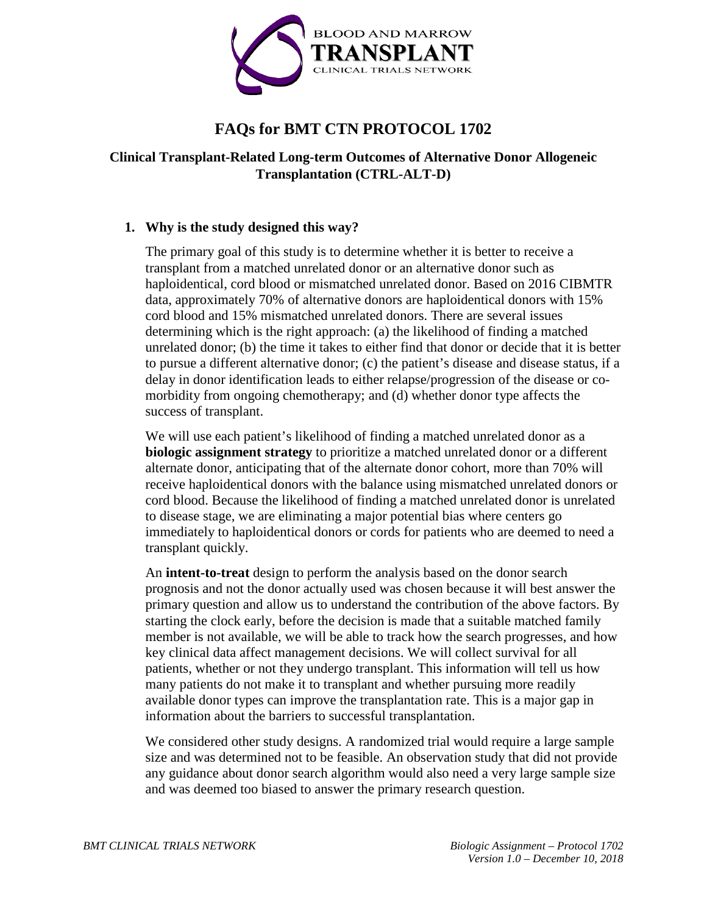

# **FAQs for BMT CTN PROTOCOL 1702**

## **Clinical Transplant-Related Long-term Outcomes of Alternative Donor Allogeneic Transplantation (CTRL-ALT-D)**

## **1. Why is the study designed this way?**

The primary goal of this study is to determine whether it is better to receive a transplant from a matched unrelated donor or an alternative donor such as haploidentical, cord blood or mismatched unrelated donor. Based on 2016 CIBMTR data, approximately 70% of alternative donors are haploidentical donors with 15% cord blood and 15% mismatched unrelated donors. There are several issues determining which is the right approach: (a) the likelihood of finding a matched unrelated donor; (b) the time it takes to either find that donor or decide that it is better to pursue a different alternative donor; (c) the patient's disease and disease status, if a delay in donor identification leads to either relapse/progression of the disease or comorbidity from ongoing chemotherapy; and (d) whether donor type affects the success of transplant.

We will use each patient's likelihood of finding a matched unrelated donor as a **biologic assignment strategy** to prioritize a matched unrelated donor or a different alternate donor, anticipating that of the alternate donor cohort, more than 70% will receive haploidentical donors with the balance using mismatched unrelated donors or cord blood. Because the likelihood of finding a matched unrelated donor is unrelated to disease stage, we are eliminating a major potential bias where centers go immediately to haploidentical donors or cords for patients who are deemed to need a transplant quickly.

An **intent-to-treat** design to perform the analysis based on the donor search prognosis and not the donor actually used was chosen because it will best answer the primary question and allow us to understand the contribution of the above factors. By starting the clock early, before the decision is made that a suitable matched family member is not available, we will be able to track how the search progresses, and how key clinical data affect management decisions. We will collect survival for all patients, whether or not they undergo transplant. This information will tell us how many patients do not make it to transplant and whether pursuing more readily available donor types can improve the transplantation rate. This is a major gap in information about the barriers to successful transplantation.

We considered other study designs. A randomized trial would require a large sample size and was determined not to be feasible. An observation study that did not provide any guidance about donor search algorithm would also need a very large sample size and was deemed too biased to answer the primary research question.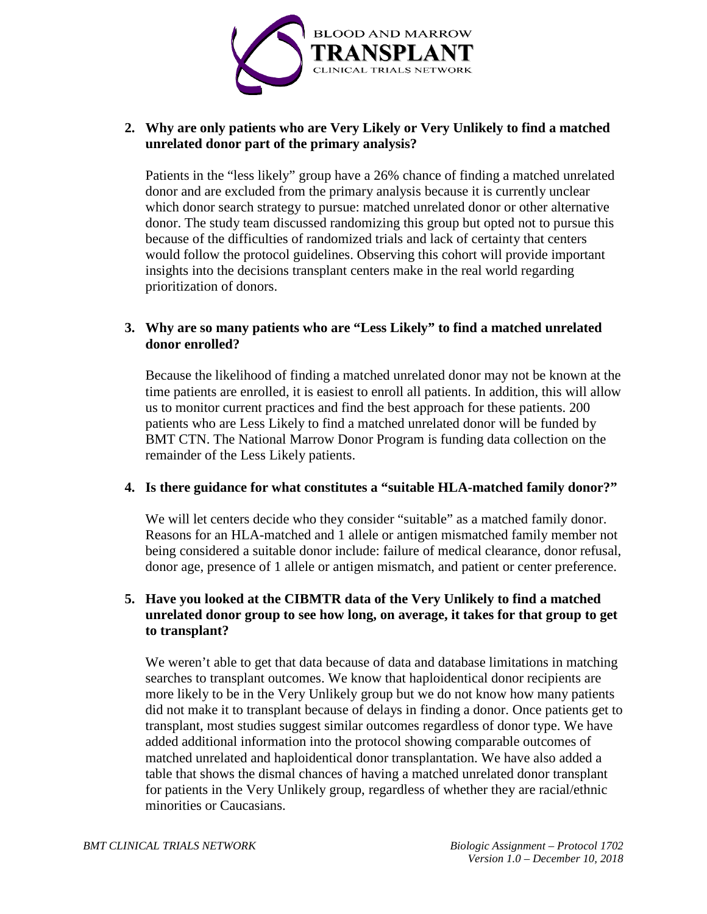

### **2. Why are only patients who are Very Likely or Very Unlikely to find a matched unrelated donor part of the primary analysis?**

Patients in the "less likely" group have a 26% chance of finding a matched unrelated donor and are excluded from the primary analysis because it is currently unclear which donor search strategy to pursue: matched unrelated donor or other alternative donor. The study team discussed randomizing this group but opted not to pursue this because of the difficulties of randomized trials and lack of certainty that centers would follow the protocol guidelines. Observing this cohort will provide important insights into the decisions transplant centers make in the real world regarding prioritization of donors.

## **3. Why are so many patients who are "Less Likely" to find a matched unrelated donor enrolled?**

Because the likelihood of finding a matched unrelated donor may not be known at the time patients are enrolled, it is easiest to enroll all patients. In addition, this will allow us to monitor current practices and find the best approach for these patients. 200 patients who are Less Likely to find a matched unrelated donor will be funded by BMT CTN. The National Marrow Donor Program is funding data collection on the remainder of the Less Likely patients.

## **4. Is there guidance for what constitutes a "suitable HLA-matched family donor?"**

We will let centers decide who they consider "suitable" as a matched family donor. Reasons for an HLA-matched and 1 allele or antigen mismatched family member not being considered a suitable donor include: failure of medical clearance, donor refusal, donor age, presence of 1 allele or antigen mismatch, and patient or center preference.

## **5. Have you looked at the CIBMTR data of the Very Unlikely to find a matched unrelated donor group to see how long, on average, it takes for that group to get to transplant?**

We weren't able to get that data because of data and database limitations in matching searches to transplant outcomes. We know that haploidentical donor recipients are more likely to be in the Very Unlikely group but we do not know how many patients did not make it to transplant because of delays in finding a donor. Once patients get to transplant, most studies suggest similar outcomes regardless of donor type. We have added additional information into the protocol showing comparable outcomes of matched unrelated and haploidentical donor transplantation. We have also added a table that shows the dismal chances of having a matched unrelated donor transplant for patients in the Very Unlikely group, regardless of whether they are racial/ethnic minorities or Caucasians.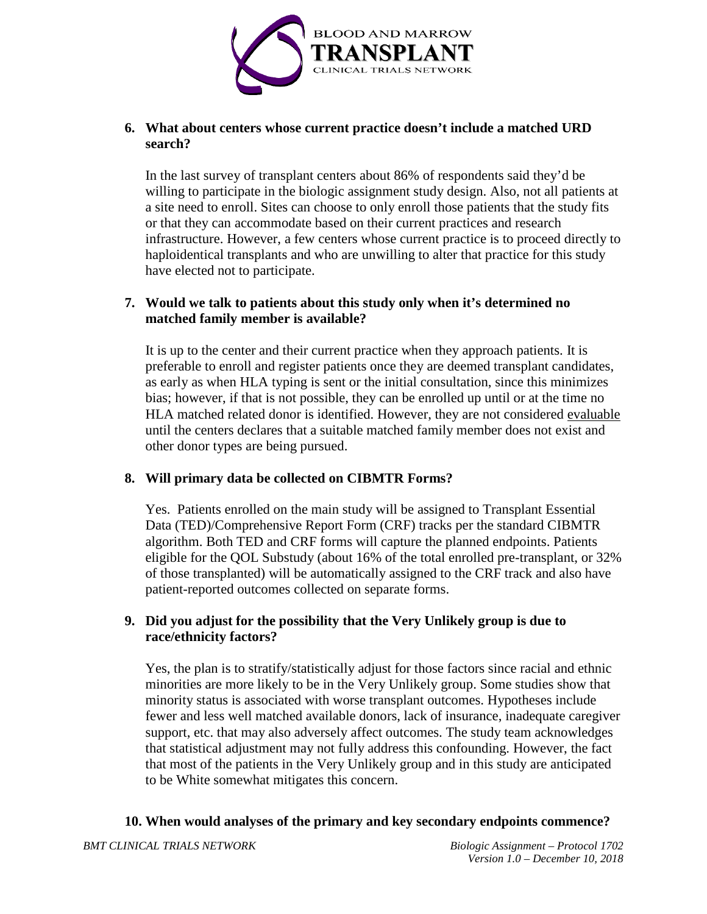

### **6. What about centers whose current practice doesn't include a matched URD search?**

In the last survey of transplant centers about 86% of respondents said they'd be willing to participate in the biologic assignment study design. Also, not all patients at a site need to enroll. Sites can choose to only enroll those patients that the study fits or that they can accommodate based on their current practices and research infrastructure. However, a few centers whose current practice is to proceed directly to haploidentical transplants and who are unwilling to alter that practice for this study have elected not to participate.

## **7. Would we talk to patients about this study only when it's determined no matched family member is available?**

It is up to the center and their current practice when they approach patients. It is preferable to enroll and register patients once they are deemed transplant candidates, as early as when HLA typing is sent or the initial consultation, since this minimizes bias; however, if that is not possible, they can be enrolled up until or at the time no HLA matched related donor is identified. However, they are not considered evaluable until the centers declares that a suitable matched family member does not exist and other donor types are being pursued.

## **8. Will primary data be collected on CIBMTR Forms?**

Yes. Patients enrolled on the main study will be assigned to Transplant Essential Data (TED)/Comprehensive Report Form (CRF) tracks per the standard CIBMTR algorithm. Both TED and CRF forms will capture the planned endpoints. Patients eligible for the QOL Substudy (about 16% of the total enrolled pre-transplant, or 32% of those transplanted) will be automatically assigned to the CRF track and also have patient-reported outcomes collected on separate forms.

## **9. Did you adjust for the possibility that the Very Unlikely group is due to race/ethnicity factors?**

Yes, the plan is to stratify/statistically adjust for those factors since racial and ethnic minorities are more likely to be in the Very Unlikely group. Some studies show that minority status is associated with worse transplant outcomes. Hypotheses include fewer and less well matched available donors, lack of insurance, inadequate caregiver support, etc. that may also adversely affect outcomes. The study team acknowledges that statistical adjustment may not fully address this confounding. However, the fact that most of the patients in the Very Unlikely group and in this study are anticipated to be White somewhat mitigates this concern.

## **10. When would analyses of the primary and key secondary endpoints commence?**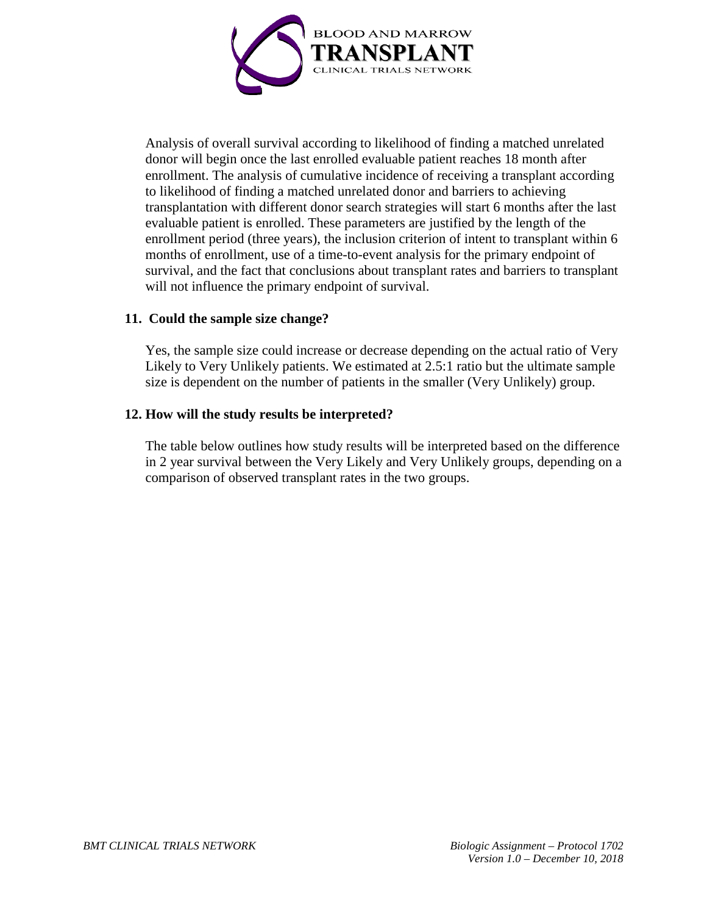

Analysis of overall survival according to likelihood of finding a matched unrelated donor will begin once the last enrolled evaluable patient reaches 18 month after enrollment. The analysis of cumulative incidence of receiving a transplant according to likelihood of finding a matched unrelated donor and barriers to achieving transplantation with different donor search strategies will start 6 months after the last evaluable patient is enrolled. These parameters are justified by the length of the enrollment period (three years), the inclusion criterion of intent to transplant within 6 months of enrollment, use of a time-to-event analysis for the primary endpoint of survival, and the fact that conclusions about transplant rates and barriers to transplant will not influence the primary endpoint of survival.

#### **11. Could the sample size change?**

Yes, the sample size could increase or decrease depending on the actual ratio of Very Likely to Very Unlikely patients. We estimated at 2.5:1 ratio but the ultimate sample size is dependent on the number of patients in the smaller (Very Unlikely) group.

#### **12. How will the study results be interpreted?**

The table below outlines how study results will be interpreted based on the difference in 2 year survival between the Very Likely and Very Unlikely groups, depending on a comparison of observed transplant rates in the two groups.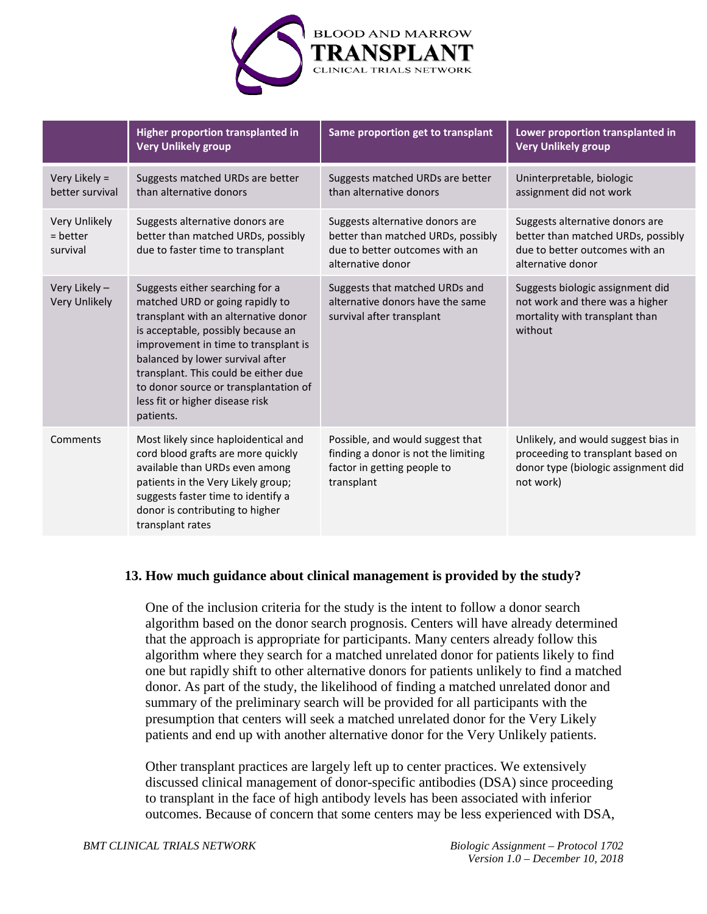

|                                         | <b>Higher proportion transplanted in</b><br><b>Very Unlikely group</b>                                                                                                                                                                                                                                                                                        | Same proportion get to transplant                                                                                            | Lower proportion transplanted in<br><b>Very Unlikely group</b>                                                               |
|-----------------------------------------|---------------------------------------------------------------------------------------------------------------------------------------------------------------------------------------------------------------------------------------------------------------------------------------------------------------------------------------------------------------|------------------------------------------------------------------------------------------------------------------------------|------------------------------------------------------------------------------------------------------------------------------|
| Very Likely =<br>better survival        | Suggests matched URDs are better<br>than alternative donors                                                                                                                                                                                                                                                                                                   | Suggests matched URDs are better<br>than alternative donors                                                                  | Uninterpretable, biologic<br>assignment did not work                                                                         |
| Very Unlikely<br>$=$ better<br>survival | Suggests alternative donors are<br>better than matched URDs, possibly<br>due to faster time to transplant                                                                                                                                                                                                                                                     | Suggests alternative donors are<br>better than matched URDs, possibly<br>due to better outcomes with an<br>alternative donor | Suggests alternative donors are<br>better than matched URDs, possibly<br>due to better outcomes with an<br>alternative donor |
| Very Likely -<br><b>Very Unlikely</b>   | Suggests either searching for a<br>matched URD or going rapidly to<br>transplant with an alternative donor<br>is acceptable, possibly because an<br>improvement in time to transplant is<br>balanced by lower survival after<br>transplant. This could be either due<br>to donor source or transplantation of<br>less fit or higher disease risk<br>patients. | Suggests that matched URDs and<br>alternative donors have the same<br>survival after transplant                              | Suggests biologic assignment did<br>not work and there was a higher<br>mortality with transplant than<br>without             |
| Comments                                | Most likely since haploidentical and<br>cord blood grafts are more quickly<br>available than URDs even among<br>patients in the Very Likely group;<br>suggests faster time to identify a<br>donor is contributing to higher<br>transplant rates                                                                                                               | Possible, and would suggest that<br>finding a donor is not the limiting<br>factor in getting people to<br>transplant         | Unlikely, and would suggest bias in<br>proceeding to transplant based on<br>donor type (biologic assignment did<br>not work) |

#### **13. How much guidance about clinical management is provided by the study?**

One of the inclusion criteria for the study is the intent to follow a donor search algorithm based on the donor search prognosis. Centers will have already determined that the approach is appropriate for participants. Many centers already follow this algorithm where they search for a matched unrelated donor for patients likely to find one but rapidly shift to other alternative donors for patients unlikely to find a matched donor. As part of the study, the likelihood of finding a matched unrelated donor and summary of the preliminary search will be provided for all participants with the presumption that centers will seek a matched unrelated donor for the Very Likely patients and end up with another alternative donor for the Very Unlikely patients.

Other transplant practices are largely left up to center practices. We extensively discussed clinical management of donor-specific antibodies (DSA) since proceeding to transplant in the face of high antibody levels has been associated with inferior outcomes. Because of concern that some centers may be less experienced with DSA,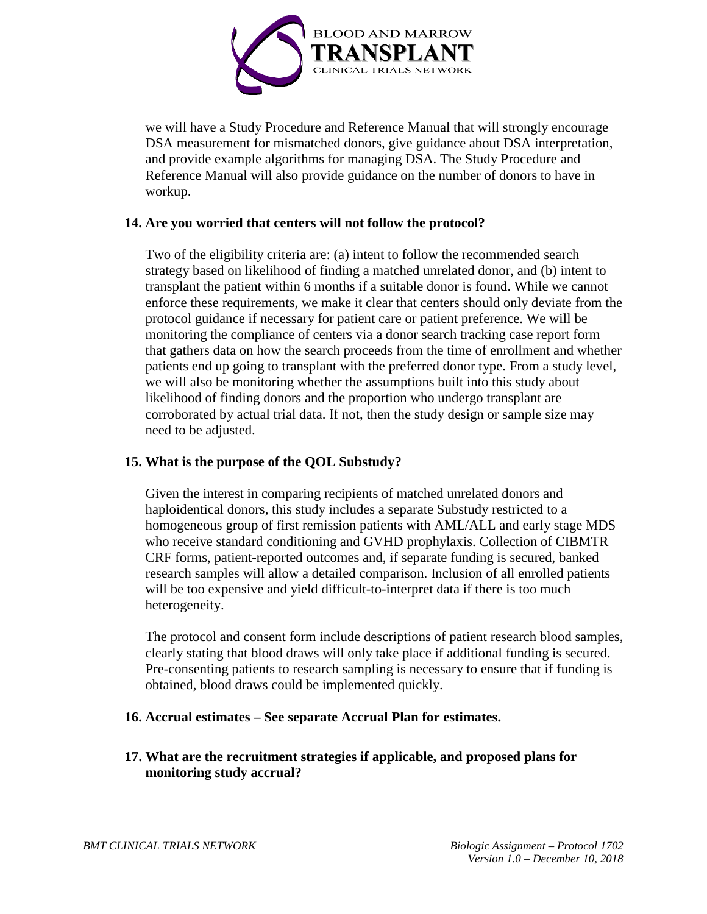

we will have a Study Procedure and Reference Manual that will strongly encourage DSA measurement for mismatched donors, give guidance about DSA interpretation, and provide example algorithms for managing DSA. The Study Procedure and Reference Manual will also provide guidance on the number of donors to have in workup.

#### **14. Are you worried that centers will not follow the protocol?**

Two of the eligibility criteria are: (a) intent to follow the recommended search strategy based on likelihood of finding a matched unrelated donor, and (b) intent to transplant the patient within 6 months if a suitable donor is found. While we cannot enforce these requirements, we make it clear that centers should only deviate from the protocol guidance if necessary for patient care or patient preference. We will be monitoring the compliance of centers via a donor search tracking case report form that gathers data on how the search proceeds from the time of enrollment and whether patients end up going to transplant with the preferred donor type. From a study level, we will also be monitoring whether the assumptions built into this study about likelihood of finding donors and the proportion who undergo transplant are corroborated by actual trial data. If not, then the study design or sample size may need to be adjusted.

#### **15. What is the purpose of the QOL Substudy?**

Given the interest in comparing recipients of matched unrelated donors and haploidentical donors, this study includes a separate Substudy restricted to a homogeneous group of first remission patients with AML/ALL and early stage MDS who receive standard conditioning and GVHD prophylaxis. Collection of CIBMTR CRF forms, patient-reported outcomes and, if separate funding is secured, banked research samples will allow a detailed comparison. Inclusion of all enrolled patients will be too expensive and yield difficult-to-interpret data if there is too much heterogeneity.

The protocol and consent form include descriptions of patient research blood samples, clearly stating that blood draws will only take place if additional funding is secured. Pre-consenting patients to research sampling is necessary to ensure that if funding is obtained, blood draws could be implemented quickly.

#### **16. Accrual estimates – See separate Accrual Plan for estimates.**

**17. What are the recruitment strategies if applicable, and proposed plans for monitoring study accrual?**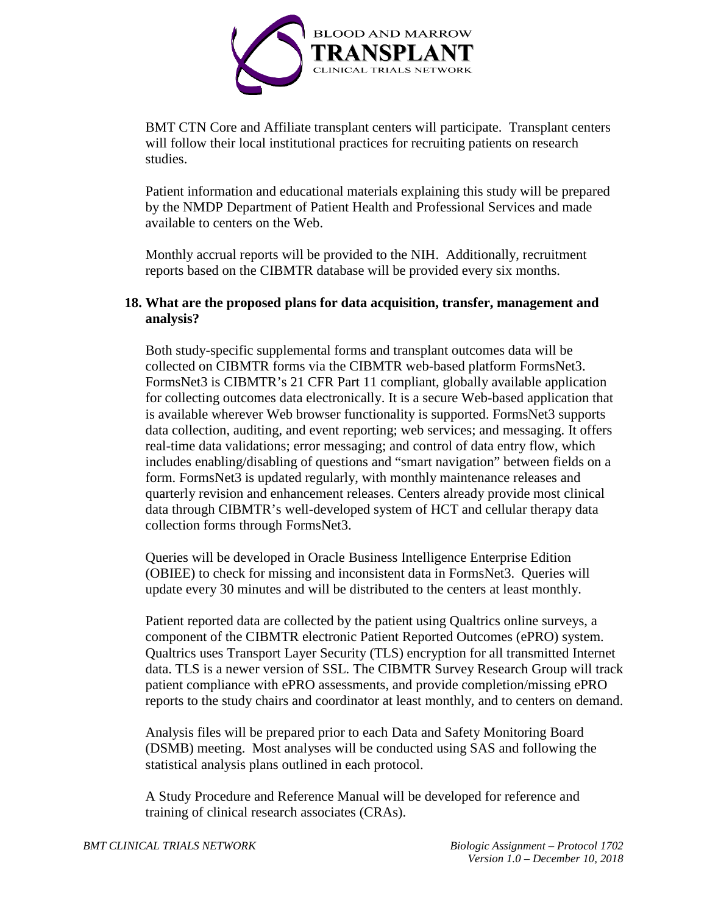

BMT CTN Core and Affiliate transplant centers will participate. Transplant centers will follow their local institutional practices for recruiting patients on research studies.

Patient information and educational materials explaining this study will be prepared by the NMDP Department of Patient Health and Professional Services and made available to centers on the Web.

Monthly accrual reports will be provided to the NIH. Additionally, recruitment reports based on the CIBMTR database will be provided every six months.

#### **18. What are the proposed plans for data acquisition, transfer, management and analysis?**

Both study-specific supplemental forms and transplant outcomes data will be collected on CIBMTR forms via the CIBMTR web-based platform FormsNet3. FormsNet3 is CIBMTR's 21 CFR Part 11 compliant, globally available application for collecting outcomes data electronically. It is a secure Web-based application that is available wherever Web browser functionality is supported. FormsNet3 supports data collection, auditing, and event reporting; web services; and messaging. It offers real-time data validations; error messaging; and control of data entry flow, which includes enabling/disabling of questions and "smart navigation" between fields on a form. FormsNet3 is updated regularly, with monthly maintenance releases and quarterly revision and enhancement releases. Centers already provide most clinical data through CIBMTR's well-developed system of HCT and cellular therapy data collection forms through FormsNet3.

Queries will be developed in Oracle Business Intelligence Enterprise Edition (OBIEE) to check for missing and inconsistent data in FormsNet3. Queries will update every 30 minutes and will be distributed to the centers at least monthly.

Patient reported data are collected by the patient using Qualtrics online surveys, a component of the CIBMTR electronic Patient Reported Outcomes (ePRO) system. Qualtrics uses Transport Layer Security (TLS) encryption for all transmitted Internet data. TLS is a newer version of SSL. The CIBMTR Survey Research Group will track patient compliance with ePRO assessments, and provide completion/missing ePRO reports to the study chairs and coordinator at least monthly, and to centers on demand.

Analysis files will be prepared prior to each Data and Safety Monitoring Board (DSMB) meeting. Most analyses will be conducted using SAS and following the statistical analysis plans outlined in each protocol.

A Study Procedure and Reference Manual will be developed for reference and training of clinical research associates (CRAs).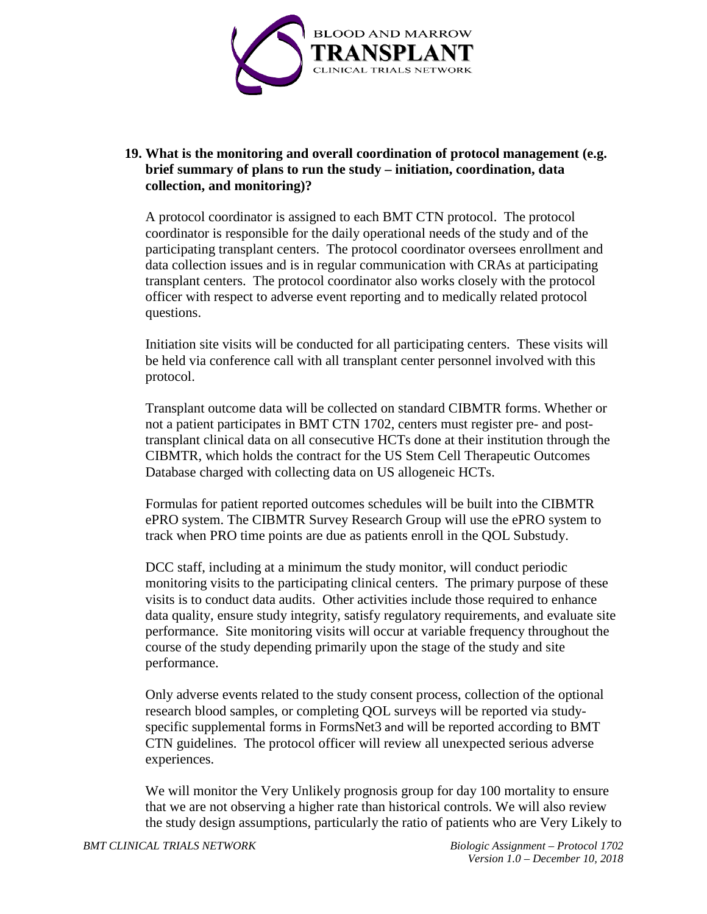

## **19. What is the monitoring and overall coordination of protocol management (e.g. brief summary of plans to run the study – initiation, coordination, data collection, and monitoring)?**

A protocol coordinator is assigned to each BMT CTN protocol. The protocol coordinator is responsible for the daily operational needs of the study and of the participating transplant centers. The protocol coordinator oversees enrollment and data collection issues and is in regular communication with CRAs at participating transplant centers. The protocol coordinator also works closely with the protocol officer with respect to adverse event reporting and to medically related protocol questions.

Initiation site visits will be conducted for all participating centers. These visits will be held via conference call with all transplant center personnel involved with this protocol.

Transplant outcome data will be collected on standard CIBMTR forms. Whether or not a patient participates in BMT CTN 1702, centers must register pre- and posttransplant clinical data on all consecutive HCTs done at their institution through the CIBMTR, which holds the contract for the US Stem Cell Therapeutic Outcomes Database charged with collecting data on US allogeneic HCTs.

Formulas for patient reported outcomes schedules will be built into the CIBMTR ePRO system. The CIBMTR Survey Research Group will use the ePRO system to track when PRO time points are due as patients enroll in the QOL Substudy.

DCC staff, including at a minimum the study monitor, will conduct periodic monitoring visits to the participating clinical centers. The primary purpose of these visits is to conduct data audits. Other activities include those required to enhance data quality, ensure study integrity, satisfy regulatory requirements, and evaluate site performance. Site monitoring visits will occur at variable frequency throughout the course of the study depending primarily upon the stage of the study and site performance.

Only adverse events related to the study consent process, collection of the optional research blood samples, or completing QOL surveys will be reported via studyspecific supplemental forms in FormsNet3 and will be reported according to BMT CTN guidelines. The protocol officer will review all unexpected serious adverse experiences.

We will monitor the Very Unlikely prognosis group for day 100 mortality to ensure that we are not observing a higher rate than historical controls. We will also review the study design assumptions, particularly the ratio of patients who are Very Likely to